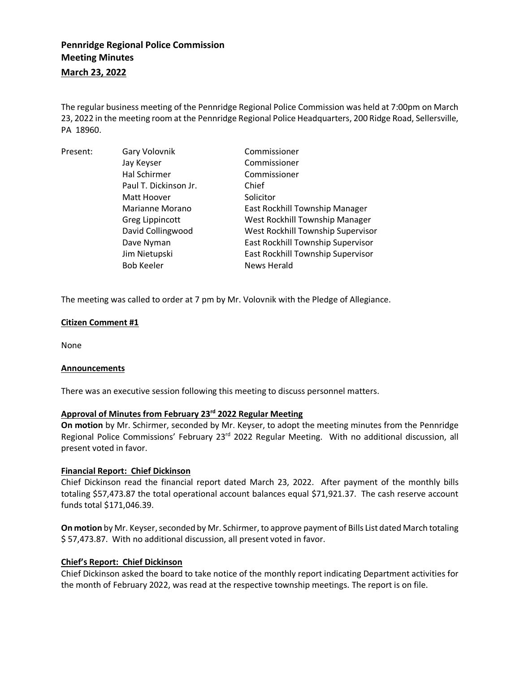# **Pennridge Regional Police Commission Meeting Minutes**

**March 23, 2022**

The regular business meeting of the Pennridge Regional Police Commission was held at 7:00pm on March 23, 2022 in the meeting room at the Pennridge Regional Police Headquarters, 200 Ridge Road, Sellersville, PA 18960.

| Present: | Gary Volovnik         | Commissioner                      |
|----------|-----------------------|-----------------------------------|
|          | Jay Keyser            | Commissioner                      |
|          | Hal Schirmer          | Commissioner                      |
|          | Paul T. Dickinson Jr. | Chief                             |
|          | Matt Hoover           | Solicitor                         |
|          | Marianne Morano       | East Rockhill Township Manager    |
|          | Greg Lippincott       | West Rockhill Township Manager    |
|          | David Collingwood     | West Rockhill Township Supervisor |
|          | Dave Nyman            | East Rockhill Township Supervisor |
|          | Jim Nietupski         | East Rockhill Township Supervisor |
|          | <b>Bob Keeler</b>     | <b>News Herald</b>                |

The meeting was called to order at 7 pm by Mr. Volovnik with the Pledge of Allegiance.

## **Citizen Comment #1**

None

#### **Announcements**

There was an executive session following this meeting to discuss personnel matters.

#### **Approval of Minutes from February 23rd 2022 Regular Meeting**

**On motion** by Mr. Schirmer, seconded by Mr. Keyser, to adopt the meeting minutes from the Pennridge Regional Police Commissions' February 23<sup>rd</sup> 2022 Regular Meeting. With no additional discussion, all present voted in favor.

#### **Financial Report: Chief Dickinson**

Chief Dickinson read the financial report dated March 23, 2022. After payment of the monthly bills totaling \$57,473.87 the total operational account balances equal \$71,921.37. The cash reserve account funds total \$171,046.39.

**On motion** by Mr. Keyser, seconded by Mr. Schirmer, to approve payment of Bills List dated March totaling \$ 57,473.87. With no additional discussion, all present voted in favor.

#### **Chief's Report: Chief Dickinson**

Chief Dickinson asked the board to take notice of the monthly report indicating Department activities for the month of February 2022, was read at the respective township meetings. The report is on file.